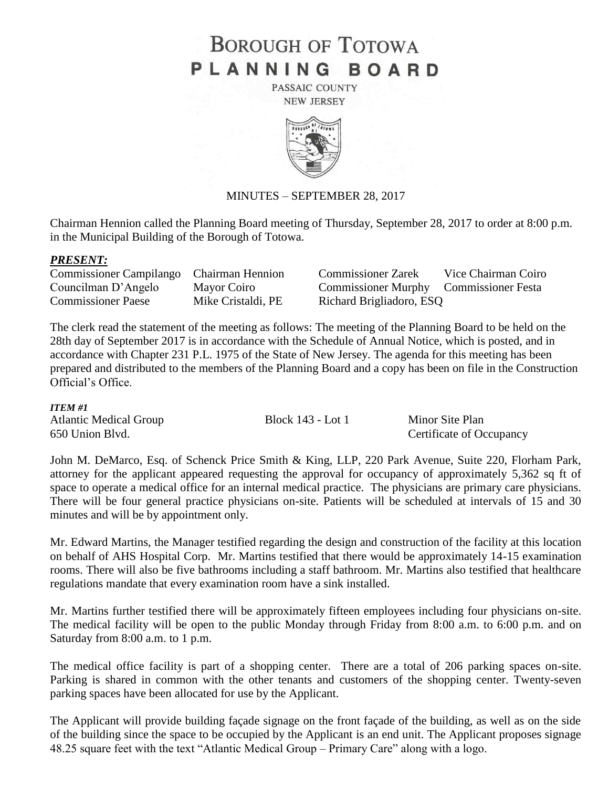# **BOROUGH OF TOTOWA** PLANNING BOARD

PASSAIC COUNTY **NEW JERSEY** 



## MINUTES – SEPTEMBER 28, 2017

Chairman Hennion called the Planning Board meeting of Thursday, September 28, 2017 to order at 8:00 p.m. in the Municipal Building of the Borough of Totowa.

#### *PRESENT:*

| Commissioner Campilango Chairman Hennion |                    | <b>Commissioner Zarek</b>              | Vice Chairman Coiro |
|------------------------------------------|--------------------|----------------------------------------|---------------------|
| Councilman D'Angelo                      | Mayor Coiro        | Commissioner Murphy Commissioner Festa |                     |
| <b>Commissioner Paese</b>                | Mike Cristaldi, PE | Richard Brigliadoro, ESQ               |                     |

The clerk read the statement of the meeting as follows: The meeting of the Planning Board to be held on the 28th day of September 2017 is in accordance with the Schedule of Annual Notice, which is posted, and in accordance with Chapter 231 P.L. 1975 of the State of New Jersey. The agenda for this meeting has been prepared and distributed to the members of the Planning Board and a copy has been on file in the Construction Official's Office.

#### *ITEM #1*

| <b>Atlantic Medical Group</b> | Block 143 - Lot 1 | Minor Site Plan          |
|-------------------------------|-------------------|--------------------------|
| 650 Union Blvd.               |                   | Certificate of Occupancy |

John M. DeMarco, Esq. of Schenck Price Smith & King, LLP, 220 Park Avenue, Suite 220, Florham Park, attorney for the applicant appeared requesting the approval for occupancy of approximately 5,362 sq ft of space to operate a medical office for an internal medical practice. The physicians are primary care physicians. There will be four general practice physicians on-site. Patients will be scheduled at intervals of 15 and 30 minutes and will be by appointment only.

Mr. Edward Martins, the Manager testified regarding the design and construction of the facility at this location on behalf of AHS Hospital Corp. Mr. Martins testified that there would be approximately 14-15 examination rooms. There will also be five bathrooms including a staff bathroom. Mr. Martins also testified that healthcare regulations mandate that every examination room have a sink installed.

Mr. Martins further testified there will be approximately fifteen employees including four physicians on-site. The medical facility will be open to the public Monday through Friday from 8:00 a.m. to 6:00 p.m. and on Saturday from 8:00 a.m. to 1 p.m.

The medical office facility is part of a shopping center. There are a total of 206 parking spaces on-site. Parking is shared in common with the other tenants and customers of the shopping center. Twenty-seven parking spaces have been allocated for use by the Applicant.

The Applicant will provide building façade signage on the front façade of the building, as well as on the side of the building since the space to be occupied by the Applicant is an end unit. The Applicant proposes signage 48.25 square feet with the text "Atlantic Medical Group – Primary Care" along with a logo.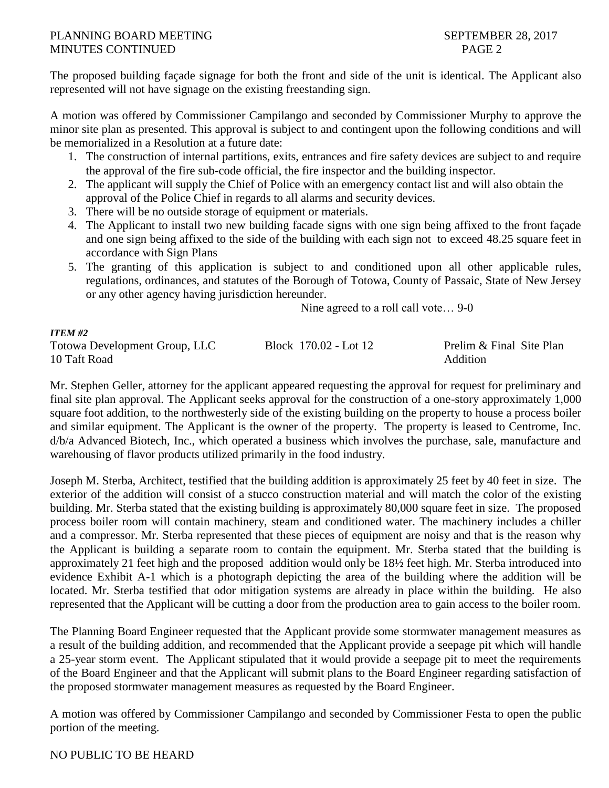# PLANNING BOARD MEETING SEPTEMBER 28, 2017 MINUTES CONTINUED PAGE 2

The proposed building façade signage for both the front and side of the unit is identical. The Applicant also represented will not have signage on the existing freestanding sign.

A motion was offered by Commissioner Campilango and seconded by Commissioner Murphy to approve the minor site plan as presented. This approval is subject to and contingent upon the following conditions and will be memorialized in a Resolution at a future date:

- 1. The construction of internal partitions, exits, entrances and fire safety devices are subject to and require the approval of the fire sub-code official, the fire inspector and the building inspector.
- 2. The applicant will supply the Chief of Police with an emergency contact list and will also obtain the approval of the Police Chief in regards to all alarms and security devices.
- 3. There will be no outside storage of equipment or materials.
- 4. The Applicant to install two new building facade signs with one sign being affixed to the front façade and one sign being affixed to the side of the building with each sign not to exceed 48.25 square feet in accordance with Sign Plans
- 5. The granting of this application is subject to and conditioned upon all other applicable rules, regulations, ordinances, and statutes of the Borough of Totowa, County of Passaic, State of New Jersey or any other agency having jurisdiction hereunder.

Nine agreed to a roll call vote… 9-0

| <b>ITEM #2</b>                       |                       |                          |
|--------------------------------------|-----------------------|--------------------------|
| <b>Totowa Development Group, LLC</b> | Block 170.02 - Lot 12 | Prelim & Final Site Plan |
| 10 Taft Road                         |                       | Addition                 |

Mr. Stephen Geller, attorney for the applicant appeared requesting the approval for request for preliminary and final site plan approval. The Applicant seeks approval for the construction of a one-story approximately 1,000 square foot addition, to the northwesterly side of the existing building on the property to house a process boiler and similar equipment. The Applicant is the owner of the property. The property is leased to Centrome, Inc. d/b/a Advanced Biotech, Inc., which operated a business which involves the purchase, sale, manufacture and warehousing of flavor products utilized primarily in the food industry.

Joseph M. Sterba, Architect, testified that the building addition is approximately 25 feet by 40 feet in size. The exterior of the addition will consist of a stucco construction material and will match the color of the existing building. Mr. Sterba stated that the existing building is approximately 80,000 square feet in size. The proposed process boiler room will contain machinery, steam and conditioned water. The machinery includes a chiller and a compressor. Mr. Sterba represented that these pieces of equipment are noisy and that is the reason why the Applicant is building a separate room to contain the equipment. Mr. Sterba stated that the building is approximately 21 feet high and the proposed addition would only be 18½ feet high. Mr. Sterba introduced into evidence Exhibit A-1 which is a photograph depicting the area of the building where the addition will be located. Mr. Sterba testified that odor mitigation systems are already in place within the building. He also represented that the Applicant will be cutting a door from the production area to gain access to the boiler room.

The Planning Board Engineer requested that the Applicant provide some stormwater management measures as a result of the building addition, and recommended that the Applicant provide a seepage pit which will handle a 25-year storm event. The Applicant stipulated that it would provide a seepage pit to meet the requirements of the Board Engineer and that the Applicant will submit plans to the Board Engineer regarding satisfaction of the proposed stormwater management measures as requested by the Board Engineer.

A motion was offered by Commissioner Campilango and seconded by Commissioner Festa to open the public portion of the meeting.

## NO PUBLIC TO BE HEARD